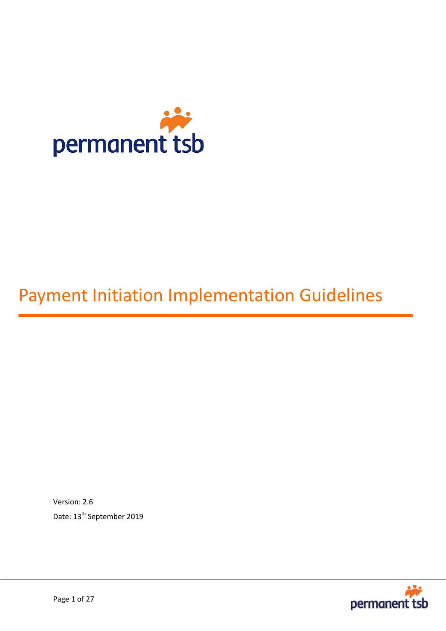

# Payment Initiation Implementation Guidelines

Version: 2.6 Date: 13<sup>th</sup> September 2019

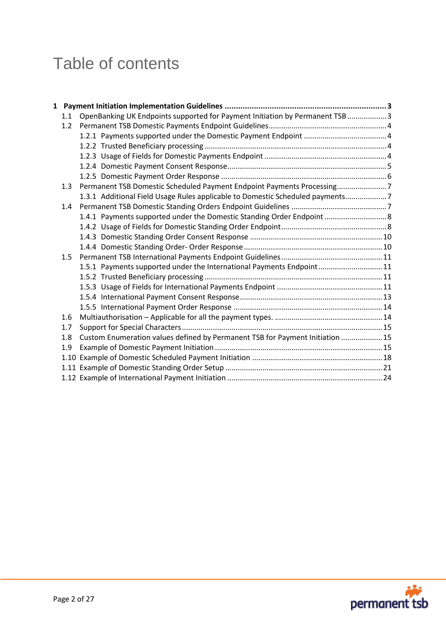# Table of contents

| 1.1 | OpenBanking UK Endpoints supported for Payment Initiation by Permanent TSB 3  |  |
|-----|-------------------------------------------------------------------------------|--|
| 1.2 |                                                                               |  |
|     |                                                                               |  |
|     |                                                                               |  |
|     |                                                                               |  |
|     |                                                                               |  |
|     |                                                                               |  |
| 1.3 | Permanent TSB Domestic Scheduled Payment Endpoint Payments Processing7        |  |
|     | 1.3.1 Additional Field Usage Rules applicable to Domestic Scheduled payments7 |  |
| 1.4 |                                                                               |  |
|     | 1.4.1 Payments supported under the Domestic Standing Order Endpoint  8        |  |
|     |                                                                               |  |
|     |                                                                               |  |
|     |                                                                               |  |
| 1.5 |                                                                               |  |
|     | 1.5.1 Payments supported under the International Payments Endpoint 11         |  |
|     |                                                                               |  |
|     |                                                                               |  |
|     |                                                                               |  |
|     |                                                                               |  |
| 1.6 |                                                                               |  |
| 1.7 |                                                                               |  |
| 1.8 | Custom Enumeration values defined by Permanent TSB for Payment Initiation  15 |  |
| 1.9 |                                                                               |  |
|     |                                                                               |  |
|     |                                                                               |  |
|     |                                                                               |  |

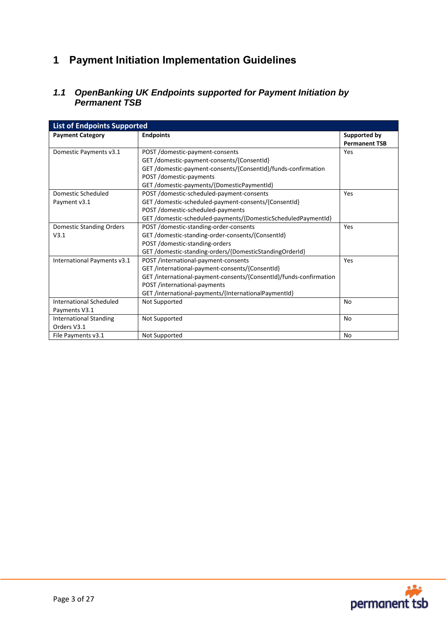# <span id="page-2-0"></span>**1 Payment Initiation Implementation Guidelines**

# <span id="page-2-1"></span>*1.1 OpenBanking UK Endpoints supported for Payment Initiation by Permanent TSB*

| <b>List of Endpoints Supported</b> |                                                                    |                      |  |  |  |
|------------------------------------|--------------------------------------------------------------------|----------------------|--|--|--|
| <b>Payment Category</b>            | <b>Endpoints</b>                                                   | <b>Supported by</b>  |  |  |  |
|                                    |                                                                    | <b>Permanent TSB</b> |  |  |  |
| Domestic Payments v3.1             | POST /domestic-payment-consents                                    | Yes                  |  |  |  |
|                                    | GET/domestic-payment-consents/{ConsentId}                          |                      |  |  |  |
|                                    | GET/domestic-payment-consents/{ConsentId}/funds-confirmation       |                      |  |  |  |
|                                    | POST /domestic-payments                                            |                      |  |  |  |
|                                    | GET/domestic-payments/{DomesticPaymentId}                          |                      |  |  |  |
| Domestic Scheduled                 | POST /domestic-scheduled-payment-consents                          | Yes                  |  |  |  |
| Payment v3.1                       | GET/domestic-scheduled-payment-consents/{ConsentId}                |                      |  |  |  |
|                                    | POST /domestic-scheduled-payments                                  |                      |  |  |  |
|                                    | GET /domestic-scheduled-payments/{DomesticScheduledPaymentId}      |                      |  |  |  |
| Domestic Standing Orders           | POST /domestic-standing-order-consents                             | Yes                  |  |  |  |
| V3.1                               | GET /domestic-standing-order-consents/{ConsentId}                  |                      |  |  |  |
|                                    | POST /domestic-standing-orders                                     |                      |  |  |  |
|                                    | GET /domestic-standing-orders/{DomesticStandingOrderId}            |                      |  |  |  |
| International Payments v3.1        | POST /international-payment-consents                               | Yes                  |  |  |  |
|                                    | GET /international-payment-consents/{ConsentId}                    |                      |  |  |  |
|                                    | GET /international-payment-consents/{ConsentId}/funds-confirmation |                      |  |  |  |
|                                    | POST /international-payments                                       |                      |  |  |  |
|                                    | GET /international-payments/{InternationalPaymentId}               |                      |  |  |  |
| International Scheduled            | Not Supported                                                      | <b>No</b>            |  |  |  |
| Payments V3.1                      |                                                                    |                      |  |  |  |
| <b>International Standing</b>      | Not Supported                                                      | <b>No</b>            |  |  |  |
| Orders V3.1                        |                                                                    |                      |  |  |  |
| File Payments v3.1                 | Not Supported                                                      | No                   |  |  |  |

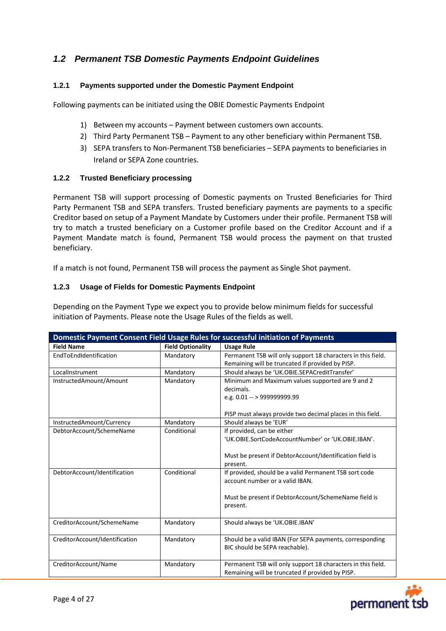# <span id="page-3-0"></span>*1.2 Permanent TSB Domestic Payments Endpoint Guidelines*

# <span id="page-3-1"></span>**1.2.1 Payments supported under the Domestic Payment Endpoint**

Following payments can be initiated using the OBIE Domestic Payments Endpoint

- 1) Between my accounts Payment between customers own accounts.
- 2) Third Party Permanent TSB Payment to any other beneficiary within Permanent TSB.
- 3) SEPA transfers to Non-Permanent TSB beneficiaries SEPA payments to beneficiaries in Ireland or SEPA Zone countries.

### <span id="page-3-2"></span>**1.2.2 Trusted Beneficiary processing**

Permanent TSB will support processing of Domestic payments on Trusted Beneficiaries for Third Party Permanent TSB and SEPA transfers. Trusted beneficiary payments are payments to a specific Creditor based on setup of a Payment Mandate by Customers under their profile. Permanent TSB will try to match a trusted beneficiary on a Customer profile based on the Creditor Account and if a Payment Mandate match is found, Permanent TSB would process the payment on that trusted beneficiary.

If a match is not found, Permanent TSB will process the payment as Single Shot payment.

#### <span id="page-3-3"></span>**1.2.3 Usage of Fields for Domestic Payments Endpoint**

Depending on the Payment Type we expect you to provide below minimum fields for successful initiation of Payments. Please note the Usage Rules of the fields as well.

| Domestic Payment Consent Field Usage Rules for successful initiation of Payments |                          |                                                                      |  |  |  |
|----------------------------------------------------------------------------------|--------------------------|----------------------------------------------------------------------|--|--|--|
| <b>Field Name</b>                                                                | <b>Field Optionality</b> | <b>Usage Rule</b>                                                    |  |  |  |
| EndToEndIdentification                                                           | Mandatory                | Permanent TSB will only support 18 characters in this field.         |  |  |  |
|                                                                                  |                          | Remaining will be truncated if provided by PISP.                     |  |  |  |
| LocalInstrument                                                                  | Mandatory                | Should always be 'UK.OBIE.SEPACreditTransfer'                        |  |  |  |
| InstructedAmount/Amount                                                          | Mandatory                | Minimum and Maximum values supported are 9 and 2                     |  |  |  |
|                                                                                  |                          | decimals.                                                            |  |  |  |
|                                                                                  |                          | e.g. 0.01 -- > 999999999.99                                          |  |  |  |
|                                                                                  |                          | PISP must always provide two decimal places in this field.           |  |  |  |
| InstructedAmount/Currency                                                        | Mandatory                | Should always be 'EUR'                                               |  |  |  |
| DebtorAccount/SchemeName                                                         | Conditional              | If provided, can be either                                           |  |  |  |
|                                                                                  |                          | 'UK.OBIE.SortCodeAccountNumber' or 'UK.OBIE.IBAN'.                   |  |  |  |
|                                                                                  |                          |                                                                      |  |  |  |
|                                                                                  |                          | Must be present if DebtorAccount/Identification field is<br>present. |  |  |  |
| DebtorAccount/Identification                                                     | Conditional              | If provided, should be a valid Permanent TSB sort code               |  |  |  |
|                                                                                  |                          | account number or a valid IBAN.                                      |  |  |  |
|                                                                                  |                          |                                                                      |  |  |  |
|                                                                                  |                          | Must be present if DebtorAccount/SchemeName field is                 |  |  |  |
|                                                                                  |                          | present.                                                             |  |  |  |
| CreditorAccount/SchemeName                                                       | Mandatory                | Should always be 'UK.OBIE.IBAN'                                      |  |  |  |
|                                                                                  |                          |                                                                      |  |  |  |
| CreditorAccount/Identification                                                   | Mandatory                | Should be a valid IBAN (For SEPA payments, corresponding             |  |  |  |
|                                                                                  |                          | BIC should be SEPA reachable).                                       |  |  |  |
|                                                                                  |                          |                                                                      |  |  |  |
| CreditorAccount/Name                                                             | Mandatory                | Permanent TSB will only support 18 characters in this field.         |  |  |  |
|                                                                                  |                          | Remaining will be truncated if provided by PISP.                     |  |  |  |

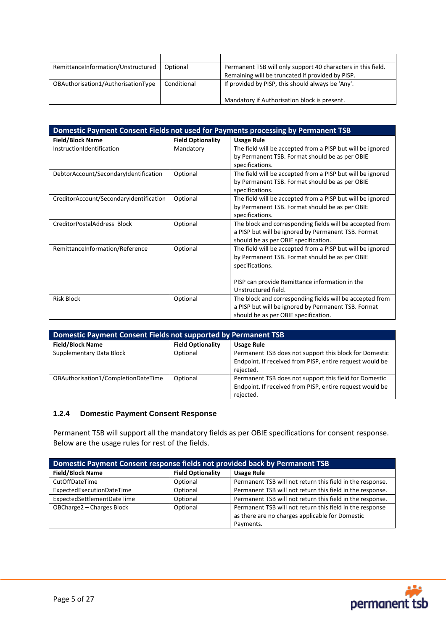| RemittanceInformation/Unstructured | Optional    | Permanent TSB will only support 40 characters in this field. |
|------------------------------------|-------------|--------------------------------------------------------------|
|                                    |             | Remaining will be truncated if provided by PISP.             |
| OBAuthorisation1/AuthorisationType | Conditional | If provided by PISP, this should always be 'Any'.            |
|                                    |             |                                                              |
|                                    |             | Mandatory if Authorisation block is present.                 |

| Domestic Payment Consent Fields not used for Payments processing by Permanent TSB |                          |                                                            |  |  |
|-----------------------------------------------------------------------------------|--------------------------|------------------------------------------------------------|--|--|
| <b>Field/Block Name</b>                                                           | <b>Field Optionality</b> | <b>Usage Rule</b>                                          |  |  |
| InstructionIdentification                                                         | Mandatory                | The field will be accepted from a PISP but will be ignored |  |  |
|                                                                                   |                          | by Permanent TSB. Format should be as per OBIE             |  |  |
|                                                                                   |                          | specifications.                                            |  |  |
| DebtorAccount/SecondaryIdentification                                             | Optional                 | The field will be accepted from a PISP but will be ignored |  |  |
|                                                                                   |                          | by Permanent TSB. Format should be as per OBIE             |  |  |
|                                                                                   |                          | specifications.                                            |  |  |
| CreditorAccount/SecondaryIdentification                                           | Optional                 | The field will be accepted from a PISP but will be ignored |  |  |
|                                                                                   |                          | by Permanent TSB. Format should be as per OBIE             |  |  |
|                                                                                   |                          | specifications.                                            |  |  |
| CreditorPostalAddress Block                                                       | Optional                 | The block and corresponding fields will be accepted from   |  |  |
|                                                                                   |                          | a PISP but will be ignored by Permanent TSB. Format        |  |  |
|                                                                                   |                          | should be as per OBIE specification.                       |  |  |
| RemittanceInformation/Reference                                                   | Optional                 | The field will be accepted from a PISP but will be ignored |  |  |
|                                                                                   |                          | by Permanent TSB. Format should be as per OBIE             |  |  |
|                                                                                   |                          | specifications.                                            |  |  |
|                                                                                   |                          |                                                            |  |  |
|                                                                                   |                          | PISP can provide Remittance information in the             |  |  |
|                                                                                   |                          | Unstructured field.                                        |  |  |
| <b>Risk Block</b>                                                                 | Optional                 | The block and corresponding fields will be accepted from   |  |  |
|                                                                                   |                          | a PISP but will be ignored by Permanent TSB. Format        |  |  |
|                                                                                   |                          | should be as per OBIE specification.                       |  |  |

| Domestic Payment Consent Fields not supported by Permanent TSB |                          |                                                                                                                                 |  |
|----------------------------------------------------------------|--------------------------|---------------------------------------------------------------------------------------------------------------------------------|--|
| <b>Field/Block Name</b>                                        | <b>Field Optionality</b> | <b>Usage Rule</b>                                                                                                               |  |
| Supplementary Data Block                                       | Optional                 | Permanent TSB does not support this block for Domestic<br>Endpoint. If received from PISP, entire request would be<br>rejected. |  |
| OBAuthorisation1/CompletionDateTime                            | Optional                 | Permanent TSB does not support this field for Domestic<br>Endpoint. If received from PISP, entire request would be<br>rejected. |  |

# <span id="page-4-0"></span>**1.2.4 Domestic Payment Consent Response**

Permanent TSB will support all the mandatory fields as per OBIE specifications for consent response. Below are the usage rules for rest of the fields.

| Domestic Payment Consent response fields not provided back by Permanent TSB |                          |                                                           |  |  |
|-----------------------------------------------------------------------------|--------------------------|-----------------------------------------------------------|--|--|
| <b>Field/Block Name</b>                                                     | <b>Field Optionality</b> | <b>Usage Rule</b>                                         |  |  |
| CutOffDateTime                                                              | Optional                 | Permanent TSB will not return this field in the response. |  |  |
| ExpectedExecutionDateTime                                                   | Optional                 | Permanent TSB will not return this field in the response. |  |  |
| ExpectedSettlementDateTime                                                  | Optional                 | Permanent TSB will not return this field in the response. |  |  |
| OBCharge2 - Charges Block                                                   | Optional                 | Permanent TSB will not return this field in the response  |  |  |
|                                                                             |                          | as there are no charges applicable for Domestic           |  |  |
|                                                                             |                          | Payments.                                                 |  |  |

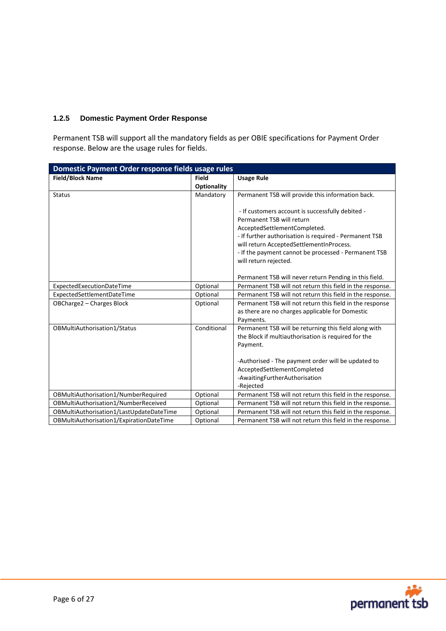# <span id="page-5-0"></span>**1.2.5 Domestic Payment Order Response**

Permanent TSB will support all the mandatory fields as per OBIE specifications for Payment Order response. Below are the usage rules for fields.

| Domestic Payment Order response fields usage rules |                    |                                                                                   |  |  |
|----------------------------------------------------|--------------------|-----------------------------------------------------------------------------------|--|--|
| <b>Field/Block Name</b>                            | <b>Field</b>       | <b>Usage Rule</b>                                                                 |  |  |
|                                                    | <b>Optionality</b> |                                                                                   |  |  |
| <b>Status</b>                                      | Mandatory          | Permanent TSB will provide this information back.                                 |  |  |
|                                                    |                    | - If customers account is successfully debited -                                  |  |  |
|                                                    |                    | Permanent TSB will return                                                         |  |  |
|                                                    |                    | AcceptedSettlementCompleted.                                                      |  |  |
|                                                    |                    | - If further authorisation is required - Permanent TSB                            |  |  |
|                                                    |                    | will return AcceptedSettlementInProcess.                                          |  |  |
|                                                    |                    | - If the payment cannot be processed - Permanent TSB                              |  |  |
|                                                    |                    | will return rejected.                                                             |  |  |
|                                                    |                    |                                                                                   |  |  |
|                                                    |                    | Permanent TSB will never return Pending in this field.                            |  |  |
| ExpectedExecutionDateTime                          | Optional           | Permanent TSB will not return this field in the response.                         |  |  |
| ExpectedSettlementDateTime                         | Optional           | Permanent TSB will not return this field in the response.                         |  |  |
| OBCharge2 - Charges Block                          | Optional           | Permanent TSB will not return this field in the response                          |  |  |
|                                                    |                    | as there are no charges applicable for Domestic                                   |  |  |
|                                                    |                    | Payments.                                                                         |  |  |
| OBMultiAuthorisation1/Status                       | Conditional        | Permanent TSB will be returning this field along with                             |  |  |
|                                                    |                    | the Block if multiauthorisation is required for the                               |  |  |
|                                                    |                    | Payment.                                                                          |  |  |
|                                                    |                    |                                                                                   |  |  |
|                                                    |                    | -Authorised - The payment order will be updated to<br>AcceptedSettlementCompleted |  |  |
|                                                    |                    | -AwaitingFurtherAuthorisation                                                     |  |  |
|                                                    |                    | -Rejected                                                                         |  |  |
| OBMultiAuthorisation1/NumberRequired               | Optional           | Permanent TSB will not return this field in the response.                         |  |  |
| OBMultiAuthorisation1/NumberReceived               | Optional           | Permanent TSB will not return this field in the response.                         |  |  |
| OBMultiAuthorisation1/LastUpdateDateTime           | Optional           | Permanent TSB will not return this field in the response.                         |  |  |
| OBMultiAuthorisation1/ExpirationDateTime           | Optional           | Permanent TSB will not return this field in the response.                         |  |  |

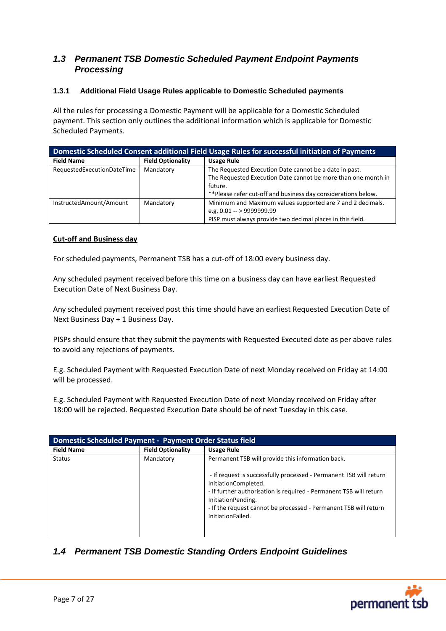# <span id="page-6-0"></span>*1.3 Permanent TSB Domestic Scheduled Payment Endpoint Payments Processing*

# <span id="page-6-1"></span>**1.3.1 Additional Field Usage Rules applicable to Domestic Scheduled payments**

All the rules for processing a Domestic Payment will be applicable for a Domestic Scheduled payment. This section only outlines the additional information which is applicable for Domestic Scheduled Payments.

| <b>Domestic Scheduled Consent additional Field Usage Rules for successful initiation of Payments</b> |                          |                                                                |  |  |
|------------------------------------------------------------------------------------------------------|--------------------------|----------------------------------------------------------------|--|--|
| <b>Field Name</b>                                                                                    | <b>Field Optionality</b> | <b>Usage Rule</b>                                              |  |  |
| Mandatory<br>RequestedExecutionDateTime                                                              |                          | The Requested Execution Date cannot be a date in past.         |  |  |
|                                                                                                      |                          | The Requested Execution Date cannot be more than one month in  |  |  |
|                                                                                                      |                          | future.                                                        |  |  |
|                                                                                                      |                          | ** Please refer cut-off and business day considerations below. |  |  |
| InstructedAmount/Amount                                                                              | Mandatory                | Minimum and Maximum values supported are 7 and 2 decimals.     |  |  |
|                                                                                                      |                          | e.g. $0.01 - 99999999.99$                                      |  |  |
|                                                                                                      |                          | PISP must always provide two decimal places in this field.     |  |  |

### **Cut-off and Business day**

For scheduled payments, Permanent TSB has a cut-off of 18:00 every business day.

Any scheduled payment received before this time on a business day can have earliest Requested Execution Date of Next Business Day.

Any scheduled payment received post this time should have an earliest Requested Execution Date of Next Business Day + 1 Business Day.

PISPs should ensure that they submit the payments with Requested Executed date as per above rules to avoid any rejections of payments.

E.g. Scheduled Payment with Requested Execution Date of next Monday received on Friday at 14:00 will be processed.

E.g. Scheduled Payment with Requested Execution Date of next Monday received on Friday after 18:00 will be rejected. Requested Execution Date should be of next Tuesday in this case.

| <b>Domestic Scheduled Payment - Payment Order Status field</b> |                          |                                                                                                                                                                                                                                                                                 |  |  |
|----------------------------------------------------------------|--------------------------|---------------------------------------------------------------------------------------------------------------------------------------------------------------------------------------------------------------------------------------------------------------------------------|--|--|
| <b>Field Name</b>                                              | <b>Field Optionality</b> | <b>Usage Rule</b>                                                                                                                                                                                                                                                               |  |  |
| <b>Status</b>                                                  | Mandatory                | Permanent TSB will provide this information back.                                                                                                                                                                                                                               |  |  |
|                                                                |                          | - If request is successfully processed - Permanent TSB will return<br>InitiationCompleted.<br>- If further authorisation is required - Permanent TSB will return<br>InitiationPending.<br>- If the request cannot be processed - Permanent TSB will return<br>InitiationFailed. |  |  |

# <span id="page-6-2"></span>*1.4 Permanent TSB Domestic Standing Orders Endpoint Guidelines*

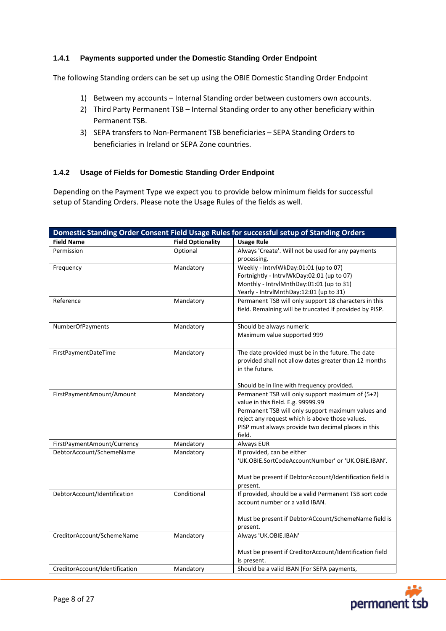# <span id="page-7-0"></span>**1.4.1 Payments supported under the Domestic Standing Order Endpoint**

The following Standing orders can be set up using the OBIE Domestic Standing Order Endpoint

- 1) Between my accounts Internal Standing order between customers own accounts.
- 2) Third Party Permanent TSB Internal Standing order to any other beneficiary within Permanent TSB.
- 3) SEPA transfers to Non-Permanent TSB beneficiaries SEPA Standing Orders to beneficiaries in Ireland or SEPA Zone countries.

### <span id="page-7-1"></span>**1.4.2 Usage of Fields for Domestic Standing Order Endpoint**

Depending on the Payment Type we expect you to provide below minimum fields for successful setup of Standing Orders. Please note the Usage Rules of the fields as well.

|                                |                          | Domestic Standing Order Consent Field Usage Rules for successful setup of Standing Orders             |
|--------------------------------|--------------------------|-------------------------------------------------------------------------------------------------------|
| <b>Field Name</b>              | <b>Field Optionality</b> | <b>Usage Rule</b>                                                                                     |
| Permission                     | Optional                 | Always 'Create'. Will not be used for any payments                                                    |
|                                |                          | processing.                                                                                           |
| Frequency                      | Mandatory                | Weekly - IntrvlWkDay:01:01 (up to 07)                                                                 |
|                                |                          | Fortnightly - IntrvlWkDay:02:01 (up to 07)                                                            |
|                                |                          | Monthly - IntrvlMnthDay:01:01 (up to 31)                                                              |
|                                |                          | Yearly - IntrvlMnthDay:12:01 (up to 31)                                                               |
| Reference                      | Mandatory                | Permanent TSB will only support 18 characters in this                                                 |
|                                |                          | field. Remaining will be truncated if provided by PISP.                                               |
|                                |                          | Should be always numeric                                                                              |
| NumberOfPayments               | Mandatory                | Maximum value supported 999                                                                           |
|                                |                          |                                                                                                       |
| FirstPaymentDateTime           | Mandatory                | The date provided must be in the future. The date                                                     |
|                                |                          | provided shall not allow dates greater than 12 months                                                 |
|                                |                          | in the future.                                                                                        |
|                                |                          |                                                                                                       |
|                                |                          | Should be in line with frequency provided.                                                            |
| FirstPaymentAmount/Amount      | Mandatory                | Permanent TSB will only support maximum of (5+2)                                                      |
|                                |                          | value in this field. E.g. 99999.99                                                                    |
|                                |                          | Permanent TSB will only support maximum values and<br>reject any request which is above those values. |
|                                |                          | PISP must always provide two decimal places in this                                                   |
|                                |                          | field.                                                                                                |
| FirstPaymentAmount/Currency    | Mandatory                | Always EUR                                                                                            |
| DebtorAccount/SchemeName       | Mandatory                | If provided, can be either                                                                            |
|                                |                          | 'UK.OBIE.SortCodeAccountNumber' or 'UK.OBIE.IBAN'.                                                    |
|                                |                          |                                                                                                       |
|                                |                          | Must be present if DebtorAccount/Identification field is                                              |
| DebtorAccount/Identification   | Conditional              | present.<br>If provided, should be a valid Permanent TSB sort code                                    |
|                                |                          | account number or a valid IBAN.                                                                       |
|                                |                          |                                                                                                       |
|                                |                          | Must be present if DebtorACcount/SchemeName field is                                                  |
|                                |                          | present.                                                                                              |
| CreditorAccount/SchemeName     | Mandatory                | Always 'UK.OBIE.IBAN'                                                                                 |
|                                |                          |                                                                                                       |
|                                |                          | Must be present if CreditorAccount/Identification field                                               |
|                                |                          | is present.                                                                                           |
| CreditorAccount/Identification | Mandatory                | Should be a valid IBAN (For SEPA payments,                                                            |

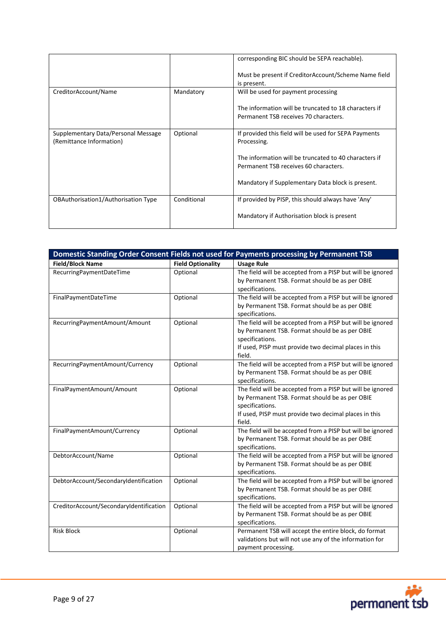|                                                                 |             | corresponding BIC should be SEPA reachable).                                                   |
|-----------------------------------------------------------------|-------------|------------------------------------------------------------------------------------------------|
|                                                                 |             | Must be present if CreditorAccount/Scheme Name field<br>is present.                            |
| CreditorAccount/Name                                            | Mandatory   | Will be used for payment processing                                                            |
|                                                                 |             | The information will be truncated to 18 characters if<br>Permanent TSB receives 70 characters. |
| Supplementary Data/Personal Message<br>(Remittance Information) | Optional    | If provided this field will be used for SEPA Payments<br>Processing.                           |
|                                                                 |             | The information will be truncated to 40 characters if<br>Permanent TSB receives 60 characters. |
|                                                                 |             | Mandatory if Supplementary Data block is present.                                              |
| OBAuthorisation1/Authorisation Type                             | Conditional | If provided by PISP, this should always have 'Any'                                             |
|                                                                 |             | Mandatory if Authorisation block is present                                                    |

| <b>Field/Block Name</b><br><b>Field Optionality</b><br><b>Usage Rule</b><br>The field will be accepted from a PISP but will be ignored<br>RecurringPaymentDateTime<br>Optional<br>by Permanent TSB. Format should be as per OBIE<br>specifications.<br>The field will be accepted from a PISP but will be ignored<br>Optional<br>FinalPaymentDateTime<br>by Permanent TSB. Format should be as per OBIE<br>specifications.<br>The field will be accepted from a PISP but will be ignored<br>RecurringPaymentAmount/Amount<br>Optional<br>by Permanent TSB. Format should be as per OBIE<br>specifications.<br>If used, PISP must provide two decimal places in this<br>field.<br>The field will be accepted from a PISP but will be ignored<br>Optional<br>RecurringPaymentAmount/Currency<br>by Permanent TSB. Format should be as per OBIE<br>specifications.<br>The field will be accepted from a PISP but will be ignored<br>Optional<br>FinalPaymentAmount/Amount<br>by Permanent TSB. Format should be as per OBIE<br>specifications.<br>If used, PISP must provide two decimal places in this<br>field.<br>The field will be accepted from a PISP but will be ignored<br>FinalPaymentAmount/Currency<br>Optional<br>by Permanent TSB. Format should be as per OBIE<br>specifications.<br>The field will be accepted from a PISP but will be ignored<br>DebtorAccount/Name<br>Optional<br>by Permanent TSB. Format should be as per OBIE<br>specifications.<br>The field will be accepted from a PISP but will be ignored<br>DebtorAccount/SecondaryIdentification<br>Optional<br>by Permanent TSB. Format should be as per OBIE<br>specifications.<br>The field will be accepted from a PISP but will be ignored<br>CreditorAccount/SecondaryIdentification<br>Optional<br>by Permanent TSB. Format should be as per OBIE | Domestic Standing Order Consent Fields not used for Payments processing by Permanent TSB |  |                     |  |
|----------------------------------------------------------------------------------------------------------------------------------------------------------------------------------------------------------------------------------------------------------------------------------------------------------------------------------------------------------------------------------------------------------------------------------------------------------------------------------------------------------------------------------------------------------------------------------------------------------------------------------------------------------------------------------------------------------------------------------------------------------------------------------------------------------------------------------------------------------------------------------------------------------------------------------------------------------------------------------------------------------------------------------------------------------------------------------------------------------------------------------------------------------------------------------------------------------------------------------------------------------------------------------------------------------------------------------------------------------------------------------------------------------------------------------------------------------------------------------------------------------------------------------------------------------------------------------------------------------------------------------------------------------------------------------------------------------------------------------------------------------------------------------------------------------------------------------|------------------------------------------------------------------------------------------|--|---------------------|--|
|                                                                                                                                                                                                                                                                                                                                                                                                                                                                                                                                                                                                                                                                                                                                                                                                                                                                                                                                                                                                                                                                                                                                                                                                                                                                                                                                                                                                                                                                                                                                                                                                                                                                                                                                                                                                                                  |                                                                                          |  |                     |  |
|                                                                                                                                                                                                                                                                                                                                                                                                                                                                                                                                                                                                                                                                                                                                                                                                                                                                                                                                                                                                                                                                                                                                                                                                                                                                                                                                                                                                                                                                                                                                                                                                                                                                                                                                                                                                                                  |                                                                                          |  |                     |  |
|                                                                                                                                                                                                                                                                                                                                                                                                                                                                                                                                                                                                                                                                                                                                                                                                                                                                                                                                                                                                                                                                                                                                                                                                                                                                                                                                                                                                                                                                                                                                                                                                                                                                                                                                                                                                                                  |                                                                                          |  |                     |  |
|                                                                                                                                                                                                                                                                                                                                                                                                                                                                                                                                                                                                                                                                                                                                                                                                                                                                                                                                                                                                                                                                                                                                                                                                                                                                                                                                                                                                                                                                                                                                                                                                                                                                                                                                                                                                                                  |                                                                                          |  |                     |  |
|                                                                                                                                                                                                                                                                                                                                                                                                                                                                                                                                                                                                                                                                                                                                                                                                                                                                                                                                                                                                                                                                                                                                                                                                                                                                                                                                                                                                                                                                                                                                                                                                                                                                                                                                                                                                                                  |                                                                                          |  |                     |  |
|                                                                                                                                                                                                                                                                                                                                                                                                                                                                                                                                                                                                                                                                                                                                                                                                                                                                                                                                                                                                                                                                                                                                                                                                                                                                                                                                                                                                                                                                                                                                                                                                                                                                                                                                                                                                                                  |                                                                                          |  |                     |  |
|                                                                                                                                                                                                                                                                                                                                                                                                                                                                                                                                                                                                                                                                                                                                                                                                                                                                                                                                                                                                                                                                                                                                                                                                                                                                                                                                                                                                                                                                                                                                                                                                                                                                                                                                                                                                                                  |                                                                                          |  |                     |  |
|                                                                                                                                                                                                                                                                                                                                                                                                                                                                                                                                                                                                                                                                                                                                                                                                                                                                                                                                                                                                                                                                                                                                                                                                                                                                                                                                                                                                                                                                                                                                                                                                                                                                                                                                                                                                                                  |                                                                                          |  |                     |  |
|                                                                                                                                                                                                                                                                                                                                                                                                                                                                                                                                                                                                                                                                                                                                                                                                                                                                                                                                                                                                                                                                                                                                                                                                                                                                                                                                                                                                                                                                                                                                                                                                                                                                                                                                                                                                                                  |                                                                                          |  |                     |  |
|                                                                                                                                                                                                                                                                                                                                                                                                                                                                                                                                                                                                                                                                                                                                                                                                                                                                                                                                                                                                                                                                                                                                                                                                                                                                                                                                                                                                                                                                                                                                                                                                                                                                                                                                                                                                                                  |                                                                                          |  |                     |  |
|                                                                                                                                                                                                                                                                                                                                                                                                                                                                                                                                                                                                                                                                                                                                                                                                                                                                                                                                                                                                                                                                                                                                                                                                                                                                                                                                                                                                                                                                                                                                                                                                                                                                                                                                                                                                                                  |                                                                                          |  |                     |  |
|                                                                                                                                                                                                                                                                                                                                                                                                                                                                                                                                                                                                                                                                                                                                                                                                                                                                                                                                                                                                                                                                                                                                                                                                                                                                                                                                                                                                                                                                                                                                                                                                                                                                                                                                                                                                                                  |                                                                                          |  |                     |  |
|                                                                                                                                                                                                                                                                                                                                                                                                                                                                                                                                                                                                                                                                                                                                                                                                                                                                                                                                                                                                                                                                                                                                                                                                                                                                                                                                                                                                                                                                                                                                                                                                                                                                                                                                                                                                                                  |                                                                                          |  |                     |  |
|                                                                                                                                                                                                                                                                                                                                                                                                                                                                                                                                                                                                                                                                                                                                                                                                                                                                                                                                                                                                                                                                                                                                                                                                                                                                                                                                                                                                                                                                                                                                                                                                                                                                                                                                                                                                                                  |                                                                                          |  |                     |  |
|                                                                                                                                                                                                                                                                                                                                                                                                                                                                                                                                                                                                                                                                                                                                                                                                                                                                                                                                                                                                                                                                                                                                                                                                                                                                                                                                                                                                                                                                                                                                                                                                                                                                                                                                                                                                                                  |                                                                                          |  |                     |  |
|                                                                                                                                                                                                                                                                                                                                                                                                                                                                                                                                                                                                                                                                                                                                                                                                                                                                                                                                                                                                                                                                                                                                                                                                                                                                                                                                                                                                                                                                                                                                                                                                                                                                                                                                                                                                                                  |                                                                                          |  |                     |  |
|                                                                                                                                                                                                                                                                                                                                                                                                                                                                                                                                                                                                                                                                                                                                                                                                                                                                                                                                                                                                                                                                                                                                                                                                                                                                                                                                                                                                                                                                                                                                                                                                                                                                                                                                                                                                                                  |                                                                                          |  |                     |  |
|                                                                                                                                                                                                                                                                                                                                                                                                                                                                                                                                                                                                                                                                                                                                                                                                                                                                                                                                                                                                                                                                                                                                                                                                                                                                                                                                                                                                                                                                                                                                                                                                                                                                                                                                                                                                                                  |                                                                                          |  |                     |  |
|                                                                                                                                                                                                                                                                                                                                                                                                                                                                                                                                                                                                                                                                                                                                                                                                                                                                                                                                                                                                                                                                                                                                                                                                                                                                                                                                                                                                                                                                                                                                                                                                                                                                                                                                                                                                                                  |                                                                                          |  |                     |  |
|                                                                                                                                                                                                                                                                                                                                                                                                                                                                                                                                                                                                                                                                                                                                                                                                                                                                                                                                                                                                                                                                                                                                                                                                                                                                                                                                                                                                                                                                                                                                                                                                                                                                                                                                                                                                                                  |                                                                                          |  |                     |  |
|                                                                                                                                                                                                                                                                                                                                                                                                                                                                                                                                                                                                                                                                                                                                                                                                                                                                                                                                                                                                                                                                                                                                                                                                                                                                                                                                                                                                                                                                                                                                                                                                                                                                                                                                                                                                                                  |                                                                                          |  |                     |  |
|                                                                                                                                                                                                                                                                                                                                                                                                                                                                                                                                                                                                                                                                                                                                                                                                                                                                                                                                                                                                                                                                                                                                                                                                                                                                                                                                                                                                                                                                                                                                                                                                                                                                                                                                                                                                                                  |                                                                                          |  |                     |  |
|                                                                                                                                                                                                                                                                                                                                                                                                                                                                                                                                                                                                                                                                                                                                                                                                                                                                                                                                                                                                                                                                                                                                                                                                                                                                                                                                                                                                                                                                                                                                                                                                                                                                                                                                                                                                                                  |                                                                                          |  |                     |  |
|                                                                                                                                                                                                                                                                                                                                                                                                                                                                                                                                                                                                                                                                                                                                                                                                                                                                                                                                                                                                                                                                                                                                                                                                                                                                                                                                                                                                                                                                                                                                                                                                                                                                                                                                                                                                                                  |                                                                                          |  |                     |  |
|                                                                                                                                                                                                                                                                                                                                                                                                                                                                                                                                                                                                                                                                                                                                                                                                                                                                                                                                                                                                                                                                                                                                                                                                                                                                                                                                                                                                                                                                                                                                                                                                                                                                                                                                                                                                                                  |                                                                                          |  |                     |  |
|                                                                                                                                                                                                                                                                                                                                                                                                                                                                                                                                                                                                                                                                                                                                                                                                                                                                                                                                                                                                                                                                                                                                                                                                                                                                                                                                                                                                                                                                                                                                                                                                                                                                                                                                                                                                                                  |                                                                                          |  |                     |  |
|                                                                                                                                                                                                                                                                                                                                                                                                                                                                                                                                                                                                                                                                                                                                                                                                                                                                                                                                                                                                                                                                                                                                                                                                                                                                                                                                                                                                                                                                                                                                                                                                                                                                                                                                                                                                                                  |                                                                                          |  |                     |  |
|                                                                                                                                                                                                                                                                                                                                                                                                                                                                                                                                                                                                                                                                                                                                                                                                                                                                                                                                                                                                                                                                                                                                                                                                                                                                                                                                                                                                                                                                                                                                                                                                                                                                                                                                                                                                                                  |                                                                                          |  |                     |  |
|                                                                                                                                                                                                                                                                                                                                                                                                                                                                                                                                                                                                                                                                                                                                                                                                                                                                                                                                                                                                                                                                                                                                                                                                                                                                                                                                                                                                                                                                                                                                                                                                                                                                                                                                                                                                                                  |                                                                                          |  |                     |  |
|                                                                                                                                                                                                                                                                                                                                                                                                                                                                                                                                                                                                                                                                                                                                                                                                                                                                                                                                                                                                                                                                                                                                                                                                                                                                                                                                                                                                                                                                                                                                                                                                                                                                                                                                                                                                                                  |                                                                                          |  |                     |  |
| specifications.                                                                                                                                                                                                                                                                                                                                                                                                                                                                                                                                                                                                                                                                                                                                                                                                                                                                                                                                                                                                                                                                                                                                                                                                                                                                                                                                                                                                                                                                                                                                                                                                                                                                                                                                                                                                                  |                                                                                          |  |                     |  |
| Permanent TSB will accept the entire block, do format<br><b>Risk Block</b><br>Optional                                                                                                                                                                                                                                                                                                                                                                                                                                                                                                                                                                                                                                                                                                                                                                                                                                                                                                                                                                                                                                                                                                                                                                                                                                                                                                                                                                                                                                                                                                                                                                                                                                                                                                                                           |                                                                                          |  |                     |  |
| validations but will not use any of the information for                                                                                                                                                                                                                                                                                                                                                                                                                                                                                                                                                                                                                                                                                                                                                                                                                                                                                                                                                                                                                                                                                                                                                                                                                                                                                                                                                                                                                                                                                                                                                                                                                                                                                                                                                                          |                                                                                          |  |                     |  |
|                                                                                                                                                                                                                                                                                                                                                                                                                                                                                                                                                                                                                                                                                                                                                                                                                                                                                                                                                                                                                                                                                                                                                                                                                                                                                                                                                                                                                                                                                                                                                                                                                                                                                                                                                                                                                                  |                                                                                          |  | payment processing. |  |

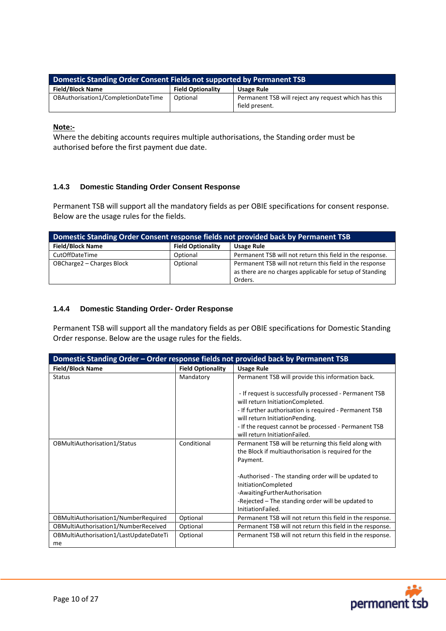| Domestic Standing Order Consent Fields not supported by Permanent TSB |                          |                                                                        |  |
|-----------------------------------------------------------------------|--------------------------|------------------------------------------------------------------------|--|
| <b>Field/Block Name</b>                                               | <b>Field Optionality</b> | <b>Usage Rule</b>                                                      |  |
| OBAuthorisation1/CompletionDateTime                                   | Optional                 | Permanent TSB will reject any request which has this<br>field present. |  |

**Note:-**

Where the debiting accounts requires multiple authorisations, the Standing order must be authorised before the first payment due date.

# <span id="page-9-0"></span>**1.4.3 Domestic Standing Order Consent Response**

Permanent TSB will support all the mandatory fields as per OBIE specifications for consent response. Below are the usage rules for the fields.

| Domestic Standing Order Consent response fields not provided back by Permanent TSB |                          |                                                                                                                                 |  |
|------------------------------------------------------------------------------------|--------------------------|---------------------------------------------------------------------------------------------------------------------------------|--|
| <b>Field/Block Name</b>                                                            | <b>Field Optionality</b> | <b>Usage Rule</b>                                                                                                               |  |
| CutOffDateTime                                                                     | Optional                 | Permanent TSB will not return this field in the response.                                                                       |  |
| OBCharge2 - Charges Block                                                          | Optional                 | Permanent TSB will not return this field in the response<br>as there are no charges applicable for setup of Standing<br>Orders. |  |

#### <span id="page-9-1"></span>**1.4.4 Domestic Standing Order- Order Response**

Permanent TSB will support all the mandatory fields as per OBIE specifications for Domestic Standing Order response. Below are the usage rules for the fields.

| Domestic Standing Order - Order response fields not provided back by Permanent TSB |                          |                                                                                                                          |  |
|------------------------------------------------------------------------------------|--------------------------|--------------------------------------------------------------------------------------------------------------------------|--|
| <b>Field/Block Name</b>                                                            | <b>Field Optionality</b> | <b>Usage Rule</b>                                                                                                        |  |
| <b>Status</b>                                                                      | Mandatory                | Permanent TSB will provide this information back.                                                                        |  |
|                                                                                    |                          | - If request is successfully processed - Permanent TSB<br>will return InitiationCompleted.                               |  |
|                                                                                    |                          | - If further authorisation is required - Permanent TSB<br>will return InitiationPending.                                 |  |
|                                                                                    |                          | - If the request cannot be processed - Permanent TSB<br>will return InitiationFailed.                                    |  |
| OBMultiAuthorisation1/Status                                                       | Conditional              | Permanent TSB will be returning this field along with<br>the Block if multiauthorisation is required for the<br>Payment. |  |
|                                                                                    |                          | -Authorised - The standing order will be updated to<br>InitiationCompleted                                               |  |
|                                                                                    |                          | -AwaitingFurtherAuthorisation                                                                                            |  |
|                                                                                    |                          | -Rejected - The standing order will be updated to                                                                        |  |
|                                                                                    |                          | InitiationFailed.                                                                                                        |  |
| OBMultiAuthorisation1/NumberRequired                                               | Optional                 | Permanent TSB will not return this field in the response.                                                                |  |
| OBMultiAuthorisation1/NumberReceived                                               | Optional                 | Permanent TSB will not return this field in the response.                                                                |  |
| OBMultiAuthorisation1/LastUpdateDateTi                                             | Optional                 | Permanent TSB will not return this field in the response.                                                                |  |
| me                                                                                 |                          |                                                                                                                          |  |

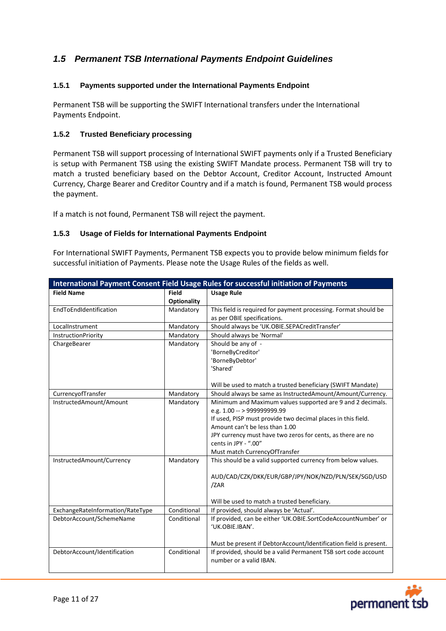# <span id="page-10-0"></span>*1.5 Permanent TSB International Payments Endpoint Guidelines*

# <span id="page-10-1"></span>**1.5.1 Payments supported under the International Payments Endpoint**

Permanent TSB will be supporting the SWIFT International transfers under the International Payments Endpoint.

#### <span id="page-10-2"></span>**1.5.2 Trusted Beneficiary processing**

Permanent TSB will support processing of International SWIFT payments only if a Trusted Beneficiary is setup with Permanent TSB using the existing SWIFT Mandate process. Permanent TSB will try to match a trusted beneficiary based on the Debtor Account, Creditor Account, Instructed Amount Currency, Charge Bearer and Creditor Country and if a match is found, Permanent TSB would process the payment.

If a match is not found, Permanent TSB will reject the payment.

#### <span id="page-10-3"></span>**1.5.3 Usage of Fields for International Payments Endpoint**

For International SWIFT Payments, Permanent TSB expects you to provide below minimum fields for successful initiation of Payments. Please note the Usage Rules of the fields as well.

| International Payment Consent Field Usage Rules for successful initiation of Payments |                                    |                                                                                                                                                                                                                                                                                                                     |  |
|---------------------------------------------------------------------------------------|------------------------------------|---------------------------------------------------------------------------------------------------------------------------------------------------------------------------------------------------------------------------------------------------------------------------------------------------------------------|--|
| <b>Field Name</b>                                                                     | <b>Field</b><br><b>Optionality</b> | <b>Usage Rule</b>                                                                                                                                                                                                                                                                                                   |  |
| EndToEndIdentification                                                                | Mandatory                          | This field is required for payment processing. Format should be<br>as per OBIE specifications.                                                                                                                                                                                                                      |  |
| LocalInstrument                                                                       | Mandatory                          | Should always be 'UK.OBIE.SEPACreditTransfer'                                                                                                                                                                                                                                                                       |  |
| InstructionPriority                                                                   | Mandatory                          | Should always be 'Normal'                                                                                                                                                                                                                                                                                           |  |
| ChargeBearer                                                                          | Mandatory                          | Should be any of -<br>'BorneByCreditor'<br>'BorneByDebtor'<br>'Shared'                                                                                                                                                                                                                                              |  |
|                                                                                       |                                    | Will be used to match a trusted beneficiary (SWIFT Mandate)                                                                                                                                                                                                                                                         |  |
| CurrencyofTransfer                                                                    | Mandatory                          | Should always be same as InstructedAmount/Amount/Currency.                                                                                                                                                                                                                                                          |  |
| InstructedAmount/Amount                                                               | Mandatory                          | Minimum and Maximum values supported are 9 and 2 decimals.<br>e.g. 1.00 -- > 999999999.99<br>If used, PISP must provide two decimal places in this field.<br>Amount can't be less than 1.00<br>JPY currency must have two zeros for cents, as there are no<br>cents in JPY - ".00"<br>Must match CurrencyOfTransfer |  |
| InstructedAmount/Currency                                                             | Mandatory                          | This should be a valid supported currency from below values.<br>AUD/CAD/CZK/DKK/EUR/GBP/JPY/NOK/NZD/PLN/SEK/SGD/USD<br>/ZAR<br>Will be used to match a trusted beneficiary.                                                                                                                                         |  |
| ExchangeRateInformation/RateType                                                      | Conditional                        | If provided, should always be 'Actual'.                                                                                                                                                                                                                                                                             |  |
| DebtorAccount/SchemeName                                                              | Conditional                        | If provided, can be either 'UK.OBIE.SortCodeAccountNumber' or<br>'UK.OBIE.IBAN'.<br>Must be present if DebtorAccount/Identification field is present.                                                                                                                                                               |  |
| DebtorAccount/Identification                                                          | Conditional                        | If provided, should be a valid Permanent TSB sort code account<br>number or a valid IBAN.                                                                                                                                                                                                                           |  |

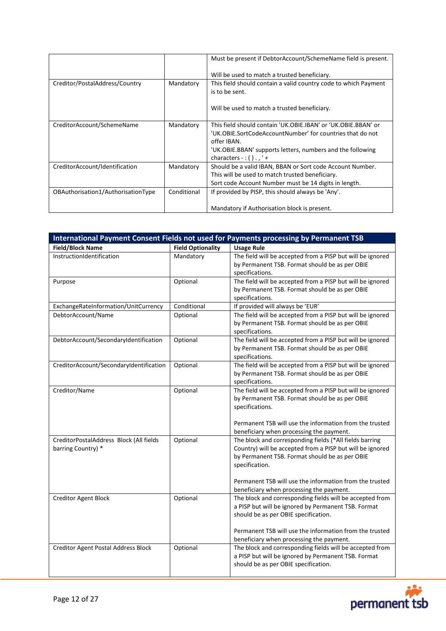|                                    |             | Must be present if DebtorAccount/SchemeName field is present.                                                                                                                                                                       |
|------------------------------------|-------------|-------------------------------------------------------------------------------------------------------------------------------------------------------------------------------------------------------------------------------------|
|                                    |             | Will be used to match a trusted beneficiary.                                                                                                                                                                                        |
| Creditor/PostalAddress/Country     | Mandatory   | This field should contain a valid country code to which Payment<br>is to be sent.                                                                                                                                                   |
|                                    |             | Will be used to match a trusted beneficiary.                                                                                                                                                                                        |
| CreditorAccount/SchemeName         | Mandatory   | This field should contain 'UK.OBIE.IBAN' or 'UK.OBIE.BBAN' or<br>'UK.OBIE.SortCodeAccountNumber' for countries that do not<br>offer IBAN.<br>'UK.OBIE.BBAN' supports letters, numbers and the following<br>characters -: $()$ ., '+ |
| CreditorAccount/Identification     | Mandatory   | Should be a valid IBAN, BBAN or Sort code Account Number.<br>This will be used to match trusted beneficiary.<br>Sort code Account Number must be 14 digits in length.                                                               |
| OBAuthorisation1/AuthorisationType | Conditional | If provided by PISP, this should always be 'Any'.                                                                                                                                                                                   |
|                                    |             | Mandatory if Authorisation block is present.                                                                                                                                                                                        |

| International Payment Consent Fields not used for Payments processing by Permanent TSB |                          |                                                                                                                                                                                                                                                                                                 |  |  |
|----------------------------------------------------------------------------------------|--------------------------|-------------------------------------------------------------------------------------------------------------------------------------------------------------------------------------------------------------------------------------------------------------------------------------------------|--|--|
| <b>Field/Block Name</b>                                                                | <b>Field Optionality</b> | <b>Usage Rule</b>                                                                                                                                                                                                                                                                               |  |  |
| InstructionIdentification                                                              | Mandatory                | The field will be accepted from a PISP but will be ignored<br>by Permanent TSB. Format should be as per OBIE<br>specifications.                                                                                                                                                                 |  |  |
| Purpose                                                                                | Optional                 | The field will be accepted from a PISP but will be ignored<br>by Permanent TSB. Format should be as per OBIE<br>specifications.                                                                                                                                                                 |  |  |
| ExchangeRateInformation/UnitCurrency                                                   | Conditional              | If provided will always be 'EUR'                                                                                                                                                                                                                                                                |  |  |
| DebtorAccount/Name                                                                     | Optional                 | The field will be accepted from a PISP but will be ignored<br>by Permanent TSB. Format should be as per OBIE<br>specifications.                                                                                                                                                                 |  |  |
| DebtorAccount/SecondaryIdentification                                                  | Optional                 | The field will be accepted from a PISP but will be ignored<br>by Permanent TSB. Format should be as per OBIE<br>specifications.                                                                                                                                                                 |  |  |
| CreditorAccount/SecondaryIdentification                                                | Optional                 | The field will be accepted from a PISP but will be ignored<br>by Permanent TSB. Format should be as per OBIE<br>specifications.                                                                                                                                                                 |  |  |
| Creditor/Name                                                                          | Optional                 | The field will be accepted from a PISP but will be ignored<br>by Permanent TSB. Format should be as per OBIE<br>specifications.<br>Permanent TSB will use the information from the trusted<br>beneficiary when processing the payment.                                                          |  |  |
| CreditorPostalAddress Block (All fields<br>barring Country) *                          | Optional                 | The block and corresponding fields (*All fields barring<br>Country) will be accepted from a PISP but will be ignored<br>by Permanent TSB. Format should be as per OBIE<br>specification.<br>Permanent TSB will use the information from the trusted<br>beneficiary when processing the payment. |  |  |
| Creditor Agent Block                                                                   | Optional                 | The block and corresponding fields will be accepted from<br>a PISP but will be ignored by Permanent TSB. Format<br>should be as per OBIE specification.<br>Permanent TSB will use the information from the trusted<br>beneficiary when processing the payment.                                  |  |  |
| Creditor Agent Postal Address Block                                                    | Optional                 | The block and corresponding fields will be accepted from<br>a PISP but will be ignored by Permanent TSB. Format<br>should be as per OBIE specification.                                                                                                                                         |  |  |

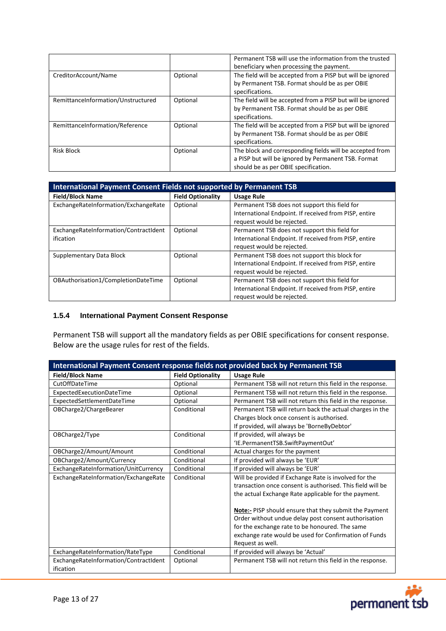|                                    |          | Permanent TSB will use the information from the trusted    |
|------------------------------------|----------|------------------------------------------------------------|
|                                    |          | beneficiary when processing the payment.                   |
| CreditorAccount/Name               | Optional | The field will be accepted from a PISP but will be ignored |
|                                    |          | by Permanent TSB. Format should be as per OBIE             |
|                                    |          | specifications.                                            |
| RemittanceInformation/Unstructured | Optional | The field will be accepted from a PISP but will be ignored |
|                                    |          | by Permanent TSB. Format should be as per OBIE             |
|                                    |          | specifications.                                            |
| RemittanceInformation/Reference    | Optional | The field will be accepted from a PISP but will be ignored |
|                                    |          | by Permanent TSB. Format should be as per OBIE             |
|                                    |          | specifications.                                            |
| <b>Risk Block</b>                  | Optional | The block and corresponding fields will be accepted from   |
|                                    |          | a PISP but will be ignored by Permanent TSB. Format        |
|                                    |          | should be as per OBIE specification.                       |

| International Payment Consent Fields not supported by Permanent TSB |                          |                                                                                                                                      |  |
|---------------------------------------------------------------------|--------------------------|--------------------------------------------------------------------------------------------------------------------------------------|--|
| <b>Field/Block Name</b>                                             | <b>Field Optionality</b> | <b>Usage Rule</b>                                                                                                                    |  |
| ExchangeRateInformation/ExchangeRate                                | Optional                 | Permanent TSB does not support this field for<br>International Endpoint. If received from PISP, entire<br>request would be rejected. |  |
| ExchangeRateInformation/ContractIdent<br>ification                  | Optional                 | Permanent TSB does not support this field for<br>International Endpoint. If received from PISP, entire<br>request would be rejected. |  |
| Supplementary Data Block                                            | Optional                 | Permanent TSB does not support this block for<br>International Endpoint. If received from PISP, entire<br>request would be rejected. |  |
| OBAuthorisation1/CompletionDateTime                                 | Optional                 | Permanent TSB does not support this field for<br>International Endpoint. If received from PISP, entire<br>request would be rejected. |  |

# <span id="page-12-0"></span>**1.5.4 International Payment Consent Response**

Permanent TSB will support all the mandatory fields as per OBIE specifications for consent response. Below are the usage rules for rest of the fields.

| International Payment Consent response fields not provided back by Permanent TSB |                          |                                                               |  |
|----------------------------------------------------------------------------------|--------------------------|---------------------------------------------------------------|--|
| <b>Field/Block Name</b>                                                          | <b>Field Optionality</b> | <b>Usage Rule</b>                                             |  |
| CutOffDateTime                                                                   | Optional                 | Permanent TSB will not return this field in the response.     |  |
| ExpectedExecutionDateTime                                                        | Optional                 | Permanent TSB will not return this field in the response.     |  |
| ExpectedSettlementDateTime                                                       | Optional                 | Permanent TSB will not return this field in the response.     |  |
| OBCharge2/ChargeBearer                                                           | Conditional              | Permanent TSB will return back the actual charges in the      |  |
|                                                                                  |                          | Charges block once consent is authorised.                     |  |
|                                                                                  |                          | If provided, will always be 'BorneByDebtor'                   |  |
| OBCharge2/Type                                                                   | Conditional              | If provided, will always be                                   |  |
|                                                                                  |                          | 'IE.PermanentTSB.SwiftPaymentOut'                             |  |
| OBCharge2/Amount/Amount                                                          | Conditional              | Actual charges for the payment                                |  |
| OBCharge2/Amount/Currency                                                        | Conditional              | If provided will always be 'EUR'                              |  |
| ExchangeRateInformation/UnitCurrency                                             | Conditional              | If provided will always be 'EUR'                              |  |
| ExchangeRateInformation/ExchangeRate                                             | Conditional              | Will be provided if Exchange Rate is involved for the         |  |
|                                                                                  |                          | transaction once consent is authorised. This field will be    |  |
|                                                                                  |                          | the actual Exchange Rate applicable for the payment.          |  |
|                                                                                  |                          | <b>Note:-</b> PISP should ensure that they submit the Payment |  |
|                                                                                  |                          | Order without undue delay post consent authorisation          |  |
|                                                                                  |                          | for the exchange rate to be honoured. The same                |  |
|                                                                                  |                          | exchange rate would be used for Confirmation of Funds         |  |
|                                                                                  |                          | Request as well.                                              |  |
| ExchangeRateInformation/RateType                                                 | Conditional              | If provided will always be 'Actual'                           |  |
| ExchangeRateInformation/ContractIdent                                            | Optional                 | Permanent TSB will not return this field in the response.     |  |
| ification                                                                        |                          |                                                               |  |

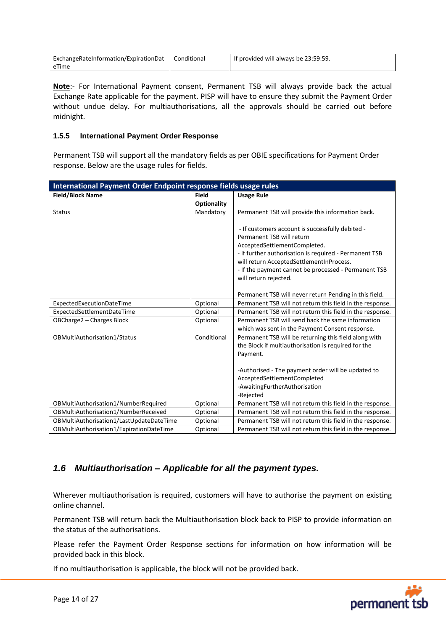| ExchangeRateInformation/ExpirationDat | Conditional | If provided will always be 23:59:59. |
|---------------------------------------|-------------|--------------------------------------|
| eTime                                 |             |                                      |

**Note**:- For International Payment consent, Permanent TSB will always provide back the actual Exchange Rate applicable for the payment. PISP will have to ensure they submit the Payment Order without undue delay. For multiauthorisations, all the approvals should be carried out before midnight.

#### <span id="page-13-0"></span>**1.5.5 International Payment Order Response**

Permanent TSB will support all the mandatory fields as per OBIE specifications for Payment Order response. Below are the usage rules for fields.

| International Payment Order Endpoint response fields usage rules |                    |                                                           |  |
|------------------------------------------------------------------|--------------------|-----------------------------------------------------------|--|
| <b>Field/Block Name</b>                                          | <b>Field</b>       | <b>Usage Rule</b>                                         |  |
|                                                                  | <b>Optionality</b> |                                                           |  |
| <b>Status</b>                                                    | Mandatory          | Permanent TSB will provide this information back.         |  |
|                                                                  |                    | - If customers account is successfully debited -          |  |
|                                                                  |                    | Permanent TSB will return                                 |  |
|                                                                  |                    | AcceptedSettlementCompleted.                              |  |
|                                                                  |                    | - If further authorisation is required - Permanent TSB    |  |
|                                                                  |                    | will return AcceptedSettlementInProcess.                  |  |
|                                                                  |                    | - If the payment cannot be processed - Permanent TSB      |  |
|                                                                  |                    | will return rejected.                                     |  |
|                                                                  |                    |                                                           |  |
|                                                                  |                    | Permanent TSB will never return Pending in this field.    |  |
| ExpectedExecutionDateTime                                        | Optional           | Permanent TSB will not return this field in the response. |  |
| ExpectedSettlementDateTime                                       | Optional           | Permanent TSB will not return this field in the response. |  |
| OBCharge2 - Charges Block                                        | Optional           | Permanent TSB will send back the same information         |  |
|                                                                  |                    | which was sent in the Payment Consent response.           |  |
| OBMultiAuthorisation1/Status                                     | Conditional        | Permanent TSB will be returning this field along with     |  |
|                                                                  |                    | the Block if multiauthorisation is required for the       |  |
|                                                                  |                    | Payment.                                                  |  |
|                                                                  |                    |                                                           |  |
|                                                                  |                    | -Authorised - The payment order will be updated to        |  |
|                                                                  |                    | AcceptedSettlementCompleted                               |  |
|                                                                  |                    | -AwaitingFurtherAuthorisation                             |  |
|                                                                  |                    | -Rejected                                                 |  |
| OBMultiAuthorisation1/NumberRequired                             | Optional           | Permanent TSB will not return this field in the response. |  |
| OBMultiAuthorisation1/NumberReceived                             | Optional           | Permanent TSB will not return this field in the response. |  |
| OBMultiAuthorisation1/LastUpdateDateTime                         | Optional           | Permanent TSB will not return this field in the response. |  |
| OBMultiAuthorisation1/ExpirationDateTime                         | Optional           | Permanent TSB will not return this field in the response. |  |

# <span id="page-13-1"></span>*1.6 Multiauthorisation – Applicable for all the payment types.*

Wherever multiauthorisation is required, customers will have to authorise the payment on existing online channel.

Permanent TSB will return back the Multiauthorisation block back to PISP to provide information on the status of the authorisations.

Please refer the Payment Order Response sections for information on how information will be provided back in this block.

If no multiauthorisation is applicable, the block will not be provided back.

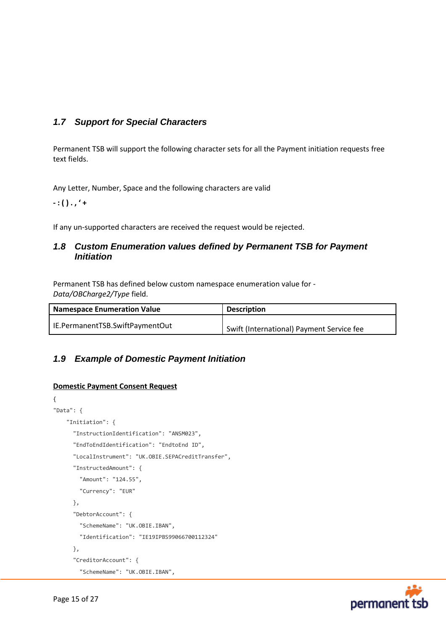# <span id="page-14-0"></span>*1.7 Support for Special Characters*

Permanent TSB will support the following character sets for all the Payment initiation requests free text fields.

Any Letter, Number, Space and the following characters are valid

**- : ( ) . , ' +**

If any un-supported characters are received the request would be rejected.

# <span id="page-14-1"></span>*1.8 Custom Enumeration values defined by Permanent TSB for Payment Initiation*

Permanent TSB has defined below custom namespace enumeration value for - *Data/OBCharge2/Type* field.

| <b>Namespace Enumeration Value</b> | <b>Description</b>                        |
|------------------------------------|-------------------------------------------|
| IE.PermanentTSB.SwiftPaymentOut    | Swift (International) Payment Service fee |

# <span id="page-14-2"></span>*1.9 Example of Domestic Payment Initiation*

# **Domestic Payment Consent Request**

```
{
"Data": {
    "Initiation": {
       "InstructionIdentification": "ANSM023",
       "EndToEndIdentification": "EndtoEnd ID",
       "LocalInstrument": "UK.OBIE.SEPACreditTransfer",
       "InstructedAmount": {
         "Amount": "124.55",
         "Currency": "EUR"
       },
       "DebtorAccount": {
         "SchemeName": "UK.OBIE.IBAN",
         "Identification": "IE19IPBS99066700112324"
       },
       "CreditorAccount": {
         "SchemeName": "UK.OBIE.IBAN",
```
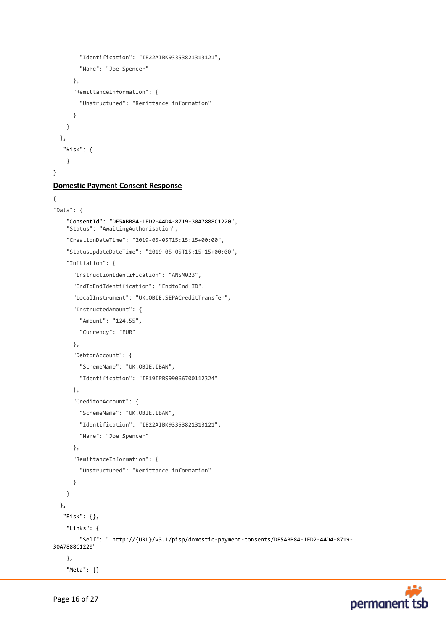```
 "Identification": "IE22AIBK93353821313121",
         "Name": "Joe Spencer"
       },
       "RemittanceInformation": {
         "Unstructured": "Remittance information"
       }
     }
   },
    "Risk": {
     }
}
```
#### **Domestic Payment Consent Response**

```
{
"Data": {
     "ConsentId": "DF5ABB84-1ED2-44D4-8719-30A7888C1220",
     "Status": "AwaitingAuthorisation",
     "CreationDateTime": "2019-05-05T15:15:15+00:00",
     "StatusUpdateDateTime": "2019-05-05T15:15:15+00:00",
     "Initiation": {
       "InstructionIdentification": "ANSM023",
       "EndToEndIdentification": "EndtoEnd ID",
       "LocalInstrument": "UK.OBIE.SEPACreditTransfer",
       "InstructedAmount": {
         "Amount": "124.55",
         "Currency": "EUR"
       },
       "DebtorAccount": {
         "SchemeName": "UK.OBIE.IBAN",
         "Identification": "IE19IPBS99066700112324"
       },
       "CreditorAccount": {
         "SchemeName": "UK.OBIE.IBAN",
         "Identification": "IE22AIBK93353821313121",
         "Name": "Joe Spencer"
       },
       "RemittanceInformation": {
         "Unstructured": "Remittance information"
       }
     }
   },
    "Risk": {},
     "Links": {
         "Self": " http://{URL}/v3.1/pisp/domestic-payment-consents/DF5ABB84-1ED2-44D4-8719-
30A7888C1220"
     },
     "Meta": {}
```
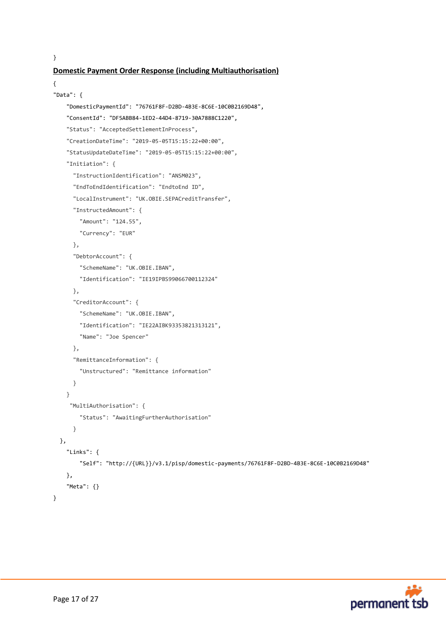}

# **Domestic Payment Order Response (including Multiauthorisation)**

```
{
"Data": {
     "DomesticPaymentId": "76761F8F-D2BD-4B3E-8C6E-10C0B2169D48",
     "ConsentId": "DF5ABB84-1ED2-44D4-8719-30A7888C1220",
     "Status": "AcceptedSettlementInProcess",
     "CreationDateTime": "2019-05-05T15:15:22+00:00",
     "StatusUpdateDateTime": "2019-05-05T15:15:22+00:00",
     "Initiation": {
       "InstructionIdentification": "ANSM023",
       "EndToEndIdentification": "EndtoEnd ID",
       "LocalInstrument": "UK.OBIE.SEPACreditTransfer",
       "InstructedAmount": {
         "Amount": "124.55",
         "Currency": "EUR"
       },
       "DebtorAccount": {
         "SchemeName": "UK.OBIE.IBAN",
         "Identification": "IE19IPBS99066700112324"
       },
       "CreditorAccount": {
         "SchemeName": "UK.OBIE.IBAN",
         "Identification": "IE22AIBK93353821313121",
         "Name": "Joe Spencer"
       },
       "RemittanceInformation": {
         "Unstructured": "Remittance information"
       }
     }
      "MultiAuthorisation": {
         "Status": "AwaitingFurtherAuthorisation"
       }
   },
     "Links": {
         "Self": "http://{URL}}/v3.1/pisp/domestic-payments/76761F8F-D2BD-4B3E-8C6E-10C0B2169D48"
     },
     "Meta": {}
}
```
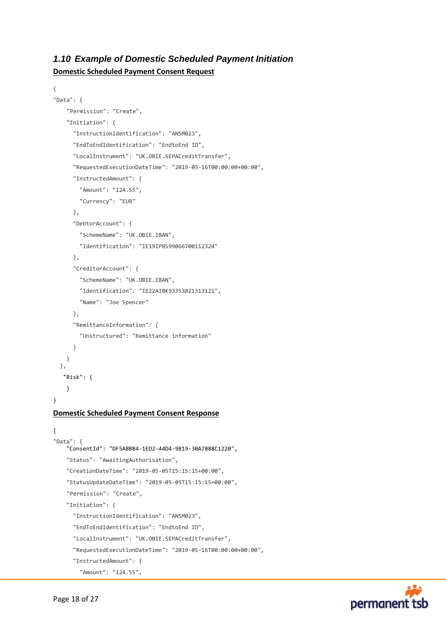# <span id="page-17-0"></span>*1.10 Example of Domestic Scheduled Payment Initiation*

**Domestic Scheduled Payment Consent Request**

```
{
"Data": {
     "Permission": "Create",
     "Initiation": {
       "InstructionIdentification": "ANSM023",
       "EndToEndIdentification": "EndtoEnd ID",
       "LocalInstrument": "UK.OBIE.SEPACreditTransfer",
       "RequestedExecutionDateTime": "2019-05-16T00:00:00+00:00",
       "InstructedAmount": {
         "Amount": "124.55",
         "Currency": "EUR"
       },
       "DebtorAccount": {
         "SchemeName": "UK.OBIE.IBAN",
         "Identification": "IE19IPBS99066700112324"
       },
       "CreditorAccount": {
         "SchemeName": "UK.OBIE.IBAN",
         "Identification": "IE22AIBK93353821313121",
         "Name": "Joe Spencer"
       },
       "RemittanceInformation": {
         "Unstructured": "Remittance information"
       }
     }
   },
    "Risk": {
     }
}
Domestic Scheduled Payment Consent Response
{
"Data": {
     "ConsentId": "DF5ABB84-1ED2-44D4-9819-30A7888C1220",
     "Status": "AwaitingAuthorisation",
     "CreationDateTime": "2019-05-05T15:15:15+00:00",
     "StatusUpdateDateTime": "2019-05-05T15:15:15+00:00",
     "Permission": "Create",
     "Initiation": {
       "InstructionIdentification": "ANSM023",
       "EndToEndIdentification": "EndtoEnd ID",
       "LocalInstrument": "UK.OBIE.SEPACreditTransfer",
       "RequestedExecutionDateTime": "2019-05-16T00:00:00+00:00",
       "InstructedAmount": {
         "Amount": "124.55",
```
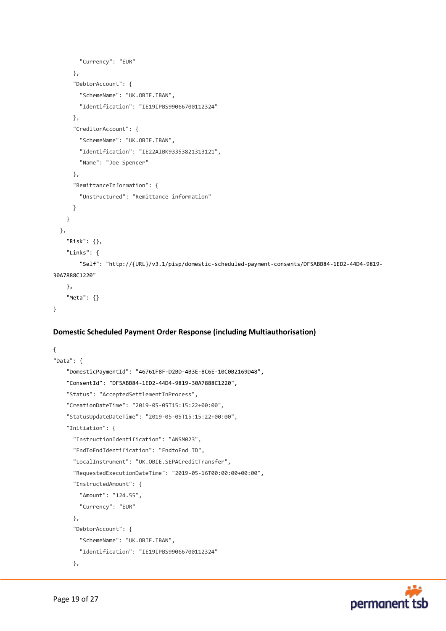```
 "Currency": "EUR"
       },
       "DebtorAccount": {
         "SchemeName": "UK.OBIE.IBAN",
         "Identification": "IE19IPBS99066700112324"
       },
       "CreditorAccount": {
         "SchemeName": "UK.OBIE.IBAN",
         "Identification": "IE22AIBK93353821313121",
         "Name": "Joe Spencer"
       },
       "RemittanceInformation": {
         "Unstructured": "Remittance information"
       }
     }
   },
     "Risk": {},
     "Links": {
         "Self": "http://{URL}/v3.1/pisp/domestic-scheduled-payment-consents/DF5ABB84-1ED2-44D4-9819-
30A7888C1220"
     },
     "Meta": {}
}
```
# **Domestic Scheduled Payment Order Response (including Multiauthorisation)**

```
{
"Data": {
     "DomesticPaymentId": "46761F8F-D2BD-4B3E-8C6E-10C0B2169D48",
     "ConsentId": "DF5ABB84-1ED2-44D4-9819-30A7888C1220",
     "Status": "AcceptedSettlementInProcess",
     "CreationDateTime": "2019-05-05T15:15:22+00:00",
     "StatusUpdateDateTime": "2019-05-05T15:15:22+00:00",
     "Initiation": {
       "InstructionIdentification": "ANSM023",
       "EndToEndIdentification": "EndtoEnd ID",
       "LocalInstrument": "UK.OBIE.SEPACreditTransfer",
       "RequestedExecutionDateTime": "2019-05-16T00:00:00+00:00",
       "InstructedAmount": {
         "Amount": "124.55",
         "Currency": "EUR"
       },
       "DebtorAccount": {
         "SchemeName": "UK.OBIE.IBAN",
         "Identification": "IE19IPBS99066700112324"
       },
```
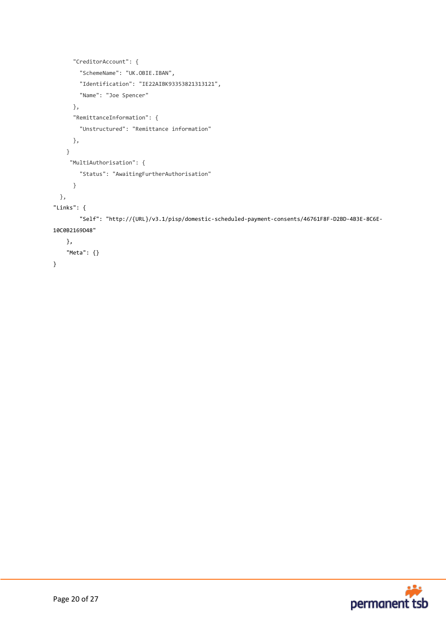```
 "CreditorAccount": {
         "SchemeName": "UK.OBIE.IBAN",
         "Identification": "IE22AIBK93353821313121",
         "Name": "Joe Spencer"
       },
       "RemittanceInformation": {
         "Unstructured": "Remittance information"
       },
     }
      "MultiAuthorisation": {
         "Status": "AwaitingFurtherAuthorisation"
       }
  },
"Links": {
         "Self": "http://{URL}/v3.1/pisp/domestic-scheduled-payment-consents/46761F8F-D2BD-4B3E-8C6E-
10C0B2169D48"
     },
     "Meta": {}
}
```
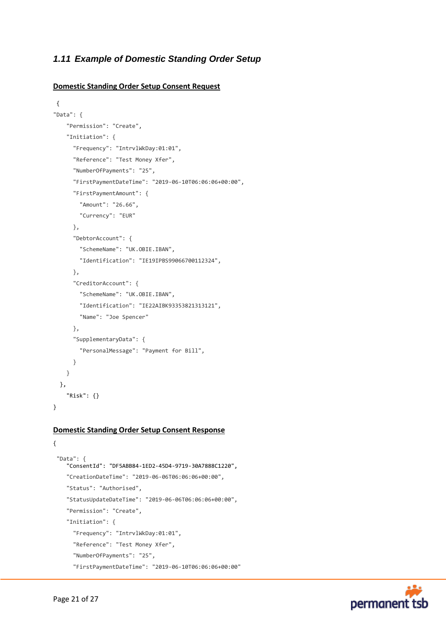# <span id="page-20-0"></span>*1.11 Example of Domestic Standing Order Setup*

#### **Domestic Standing Order Setup Consent Request**

```
{
"Data": {
     "Permission": "Create",
     "Initiation": {
       "Frequency": "IntrvlWkDay:01:01",
       "Reference": "Test Money Xfer",
       "NumberOfPayments": "25",
       "FirstPaymentDateTime": "2019-06-10T06:06:06+00:00",
       "FirstPaymentAmount": {
         "Amount": "26.66",
         "Currency": "EUR"
       }, 
       "DebtorAccount": {
         "SchemeName": "UK.OBIE.IBAN",
         "Identification": "IE19IPBS99066700112324",
       },
       "CreditorAccount": {
         "SchemeName": "UK.OBIE.IBAN",
         "Identification": "IE22AIBK93353821313121",
         "Name": "Joe Spencer"
       },
       "SupplementaryData": {
         "PersonalMessage": "Payment for Bill",
       }
     }
   },
     "Risk": {}
}
```
#### **Domestic Standing Order Setup Consent Response**

```
"Data": {
    "ConsentId": "DF5ABB84-1ED2-45D4-9719-30A7888C1220",
   "CreationDateTime": "2019-06-06T06:06:06+00:00",
   "Status": "Authorised",
    "StatusUpdateDateTime": "2019-06-06T06:06:06+00:00",
   "Permission": "Create",
    "Initiation": {
      "Frequency": "IntrvlWkDay:01:01",
      "Reference": "Test Money Xfer",
      "NumberOfPayments": "25",
      "FirstPaymentDateTime": "2019-06-10T06:06:06+00:00"
```


{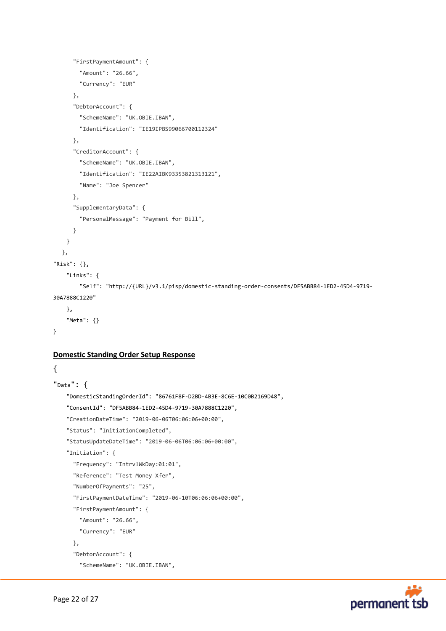```
 "FirstPaymentAmount": {
         "Amount": "26.66",
         "Currency": "EUR"
       }, 
       "DebtorAccount": {
         "SchemeName": "UK.OBIE.IBAN",
         "Identification": "IE19IPBS99066700112324"
       },
       "CreditorAccount": {
         "SchemeName": "UK.OBIE.IBAN",
         "Identification": "IE22AIBK93353821313121",
         "Name": "Joe Spencer"
       },
       "SupplementaryData": {
         "PersonalMessage": "Payment for Bill",
       }
     }
   },
"Risk": {},
     "Links": {
         "Self": "http://{URL}/v3.1/pisp/domestic-standing-order-consents/DF5ABB84-1ED2-45D4-9719-
30A7888C1220"
     },
     "Meta": {}
}
```
#### **Domestic Standing Order Setup Response**

{

```
"Data": {
     "DomesticStandingOrderId": "86761F8F-D2BD-4B3E-8C6E-10C0B2169D48",
     "ConsentId": "DF5ABB84-1ED2-45D4-9719-30A7888C1220",
     "CreationDateTime": "2019-06-06T06:06:06+00:00",
     "Status": "InitiationCompleted",
     "StatusUpdateDateTime": "2019-06-06T06:06:06+00:00",
     "Initiation": {
       "Frequency": "IntrvlWkDay:01:01",
       "Reference": "Test Money Xfer",
       "NumberOfPayments": "25",
       "FirstPaymentDateTime": "2019-06-10T06:06:06+00:00",
       "FirstPaymentAmount": {
         "Amount": "26.66",
         "Currency": "EUR"
       }, 
       "DebtorAccount": {
         "SchemeName": "UK.OBIE.IBAN",
```
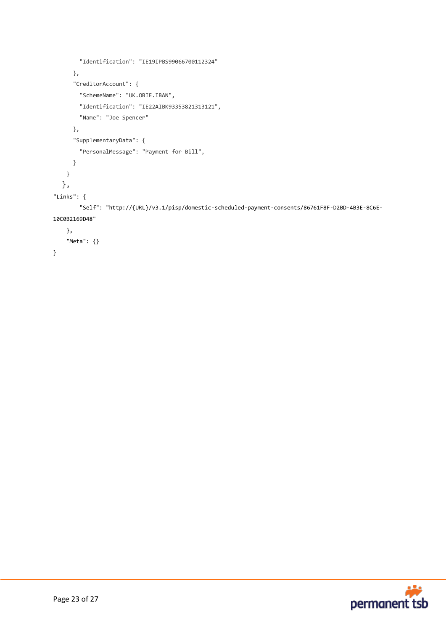```
 "Identification": "IE19IPBS99066700112324"
       },
       "CreditorAccount": {
         "SchemeName": "UK.OBIE.IBAN",
         "Identification": "IE22AIBK93353821313121",
         "Name": "Joe Spencer"
       },
       "SupplementaryData": {
         "PersonalMessage": "Payment for Bill",
       }
     }
   },
"Links": {
         "Self": "http://{URL}/v3.1/pisp/domestic-scheduled-payment-consents/86761F8F-D2BD-4B3E-8C6E-
10C0B2169D48"
     },
     "Meta": {}
}
```
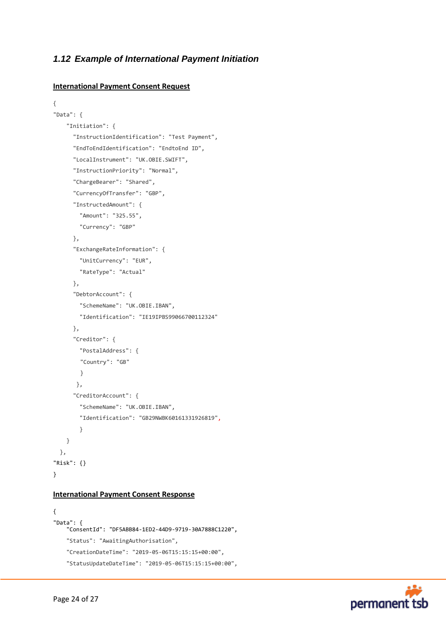# <span id="page-23-0"></span>*1.12 Example of International Payment Initiation*

#### **International Payment Consent Request**

```
{
"Data": {
     "Initiation": {
       "InstructionIdentification": "Test Payment",
       "EndToEndIdentification": "EndtoEnd ID",
       "LocalInstrument": "UK.OBIE.SWIFT",
       "InstructionPriority": "Normal",
       "ChargeBearer": "Shared",
       "CurrencyOfTransfer": "GBP",
       "InstructedAmount": {
         "Amount": "325.55",
         "Currency": "GBP"
       },
       "ExchangeRateInformation": {
         "UnitCurrency": "EUR",
         "RateType": "Actual"
       },
       "DebtorAccount": {
         "SchemeName": "UK.OBIE.IBAN",
         "Identification": "IE19IPBS99066700112324"
       },
       "Creditor": {
         "PostalAddress": {
        "Country": "GB"
        }
        },
       "CreditorAccount": {
         "SchemeName": "UK.OBIE.IBAN",
         "Identification": "GB29NWBK60161331926819",
         }
     }
   },
"Risk": {}
}
```
#### **International Payment Consent Response**

```
{
"Data": {
     "ConsentId": "DF5ABB84-1ED2-44D9-9719-30A7888C1220",
    "Status": "AwaitingAuthorisation",
     "CreationDateTime": "2019-05-06T15:15:15+00:00",
    "StatusUpdateDateTime": "2019-05-06T15:15:15+00:00",
```
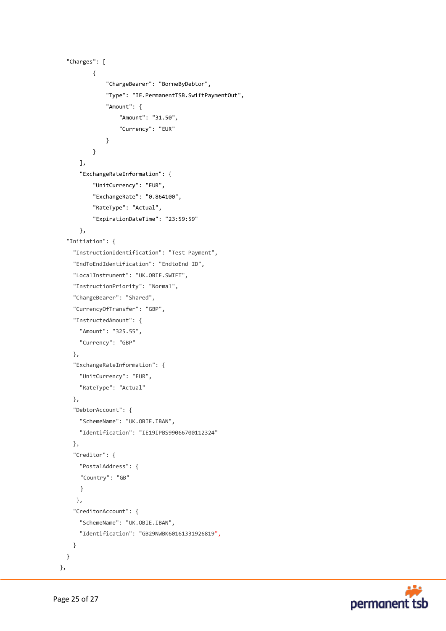```
 "Charges": [
\{ "ChargeBearer": "BorneByDebtor",
                 "Type": "IE.PermanentTSB.SwiftPaymentOut",
                 "Amount": {
                     "Amount": "31.50",
                     "Currency": "EUR"
 }
 }
        ],
        "ExchangeRateInformation": {
             "UnitCurrency": "EUR",
             "ExchangeRate": "0.864100",
             "RateType": "Actual",
             "ExpirationDateTime": "23:59:59"
        },
    "Initiation": {
      "InstructionIdentification": "Test Payment",
      "EndToEndIdentification": "EndtoEnd ID",
      "LocalInstrument": "UK.OBIE.SWIFT",
      "InstructionPriority": "Normal",
       "ChargeBearer": "Shared",
      "CurrencyOfTransfer": "GBP",
       "InstructedAmount": {
        "Amount": "325.55",
        "Currency": "GBP"
      },
      "ExchangeRateInformation": {
        "UnitCurrency": "EUR",
        "RateType": "Actual"
      },
       "DebtorAccount": {
        "SchemeName": "UK.OBIE.IBAN",
        "Identification": "IE19IPBS99066700112324"
      },
       "Creditor": {
        "PostalAddress": {
       "Country": "GB"
       }
       },
       "CreditorAccount": {
        "SchemeName": "UK.OBIE.IBAN",
        "Identification": "GB29NWBK60161331926819",
      }
    }
```


},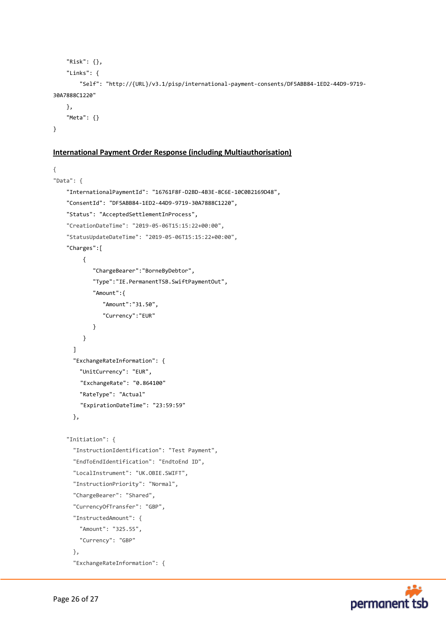```
 "Risk": {},
     "Links": {
         "Self": "http://{URL}/v3.1/pisp/international-payment-consents/DF5ABB84-1ED2-44D9-9719-
30A7888C1220"
     },
     "Meta": {}
}
```
### **International Payment Order Response (including Multiauthorisation)**

```
{
"Data": {
     "InternationalPaymentId": "16761F8F-D2BD-4B3E-8C6E-10C0B2169D48",
     "ConsentId": "DF5ABB84-1ED2-44D9-9719-30A7888C1220",
     "Status": "AcceptedSettlementInProcess",
     "CreationDateTime": "2019-05-06T15:15:22+00:00",
     "StatusUpdateDateTime": "2019-05-06T15:15:22+00:00",
     "Charges":[
          {
             "ChargeBearer":"BorneByDebtor",
             "Type":"IE.PermanentTSB.SwiftPaymentOut",
             "Amount":{
                "Amount":"31.50",
                "Currency":"EUR"
 }
          }
       ]
       "ExchangeRateInformation": {
         "UnitCurrency": "EUR",
        "ExchangeRate": "0.864100"
         "RateType": "Actual"
        "ExpirationDateTime": "23:59:59"
       },
     "Initiation": {
       "InstructionIdentification": "Test Payment",
       "EndToEndIdentification": "EndtoEnd ID",
       "LocalInstrument": "UK.OBIE.SWIFT",
       "InstructionPriority": "Normal",
       "ChargeBearer": "Shared",
       "CurrencyOfTransfer": "GBP",
       "InstructedAmount": {
         "Amount": "325.55",
         "Currency": "GBP"
       },
       "ExchangeRateInformation": {
```